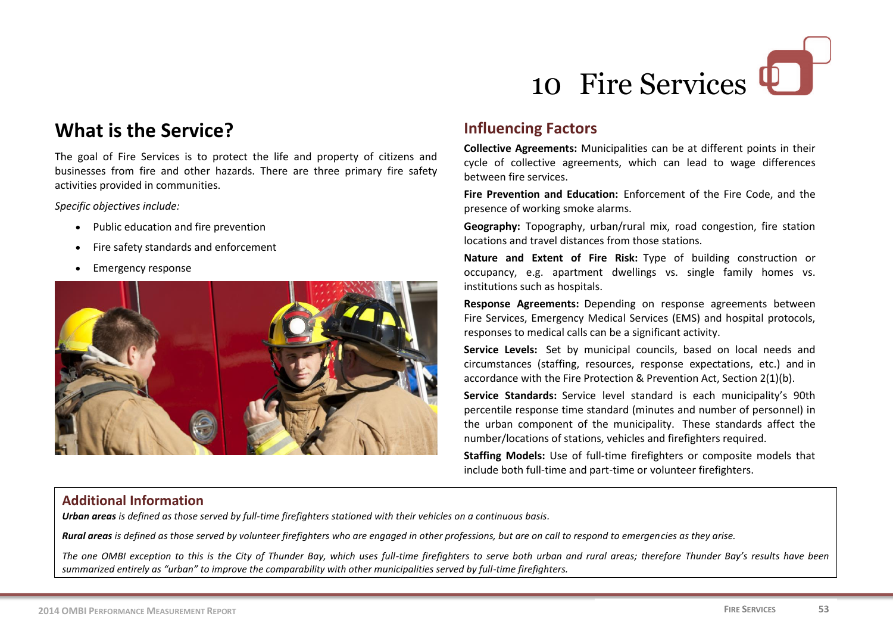

## **What is the Service?**

The goal of Fire Services is to protect the life and property of citizens and businesses from fire and other hazards. There are three primary fire safety activities provided in communities.

*Specific objectives include:*

- Public education and fire prevention
- Fire safety standards and enforcement
- Emergency response



## **Influencing Factors**

**Collective Agreements:** Municipalities can be at different points in their cycle of collective agreements, which can lead to wage differences between fire services.

**Fire Prevention and Education:** Enforcement of the Fire Code, and the presence of working smoke alarms.

**Geography:** Topography, urban/rural mix, road congestion, fire station locations and travel distances from those stations.

**Nature and Extent of Fire Risk:** Type of building construction or occupancy, e.g. apartment dwellings vs. single family homes vs. institutions such as hospitals.

**Response Agreements:** Depending on response agreements between Fire Services, Emergency Medical Services (EMS) and hospital protocols, responses to medical calls can be a significant activity.

**Service Levels:** Set by municipal councils, based on local needs and circumstances (staffing, resources, response expectations, etc.) and in accordance with the Fire Protection & Prevention Act, Section 2(1)(b).

**Service Standards:** Service level standard is each municipality's 90th percentile response time standard (minutes and number of personnel) in the urban component of the municipality. These standards affect the number/locations of stations, vehicles and firefighters required.

**Staffing Models:** Use of full-time firefighters or composite models that include both full-time and part-time or volunteer firefighters.

#### **Additional Information**

*Urban areas is defined as those served by full-time firefighters stationed with their vehicles on a continuous basis.*

*Rural areas is defined as those served by volunteer firefighters who are engaged in other professions, but are on call to respond to emergencies as they arise.*

*The one OMBI exception to this is the City of Thunder Bay, which uses full-time firefighters to serve both urban and rural areas; therefore Thunder Bay's results have been summarized entirely as "urban" to improve the comparability with other municipalities served by full-time firefighters.*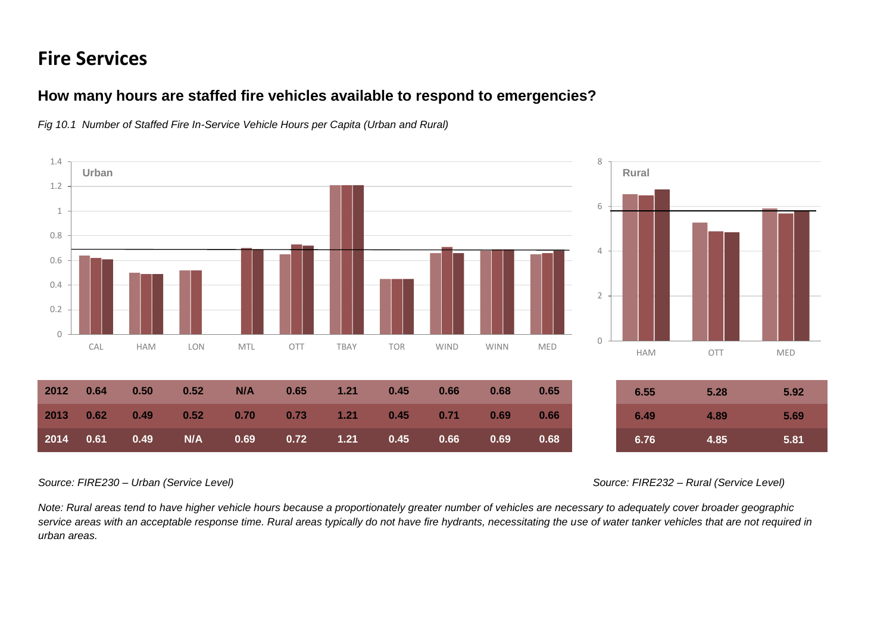# **Fire Services**

#### **How many hours are staffed fire vehicles available to respond to emergencies?**



*Fig 10.1 Number of Staffed Fire In-Service Vehicle Hours per Capita (Urban and Rural)*

*Source: FIRE230 – Urban (Service Level) Source: FIRE232 – Rural (Service Level)*

*Note: Rural areas tend to have higher vehicle hours because a proportionately greater number of vehicles are necessary to adequately cover broader geographic*  service areas with an acceptable response time. Rural areas typically do not have fire hydrants, necessitating the use of water tanker vehicles that are not required in *urban areas.*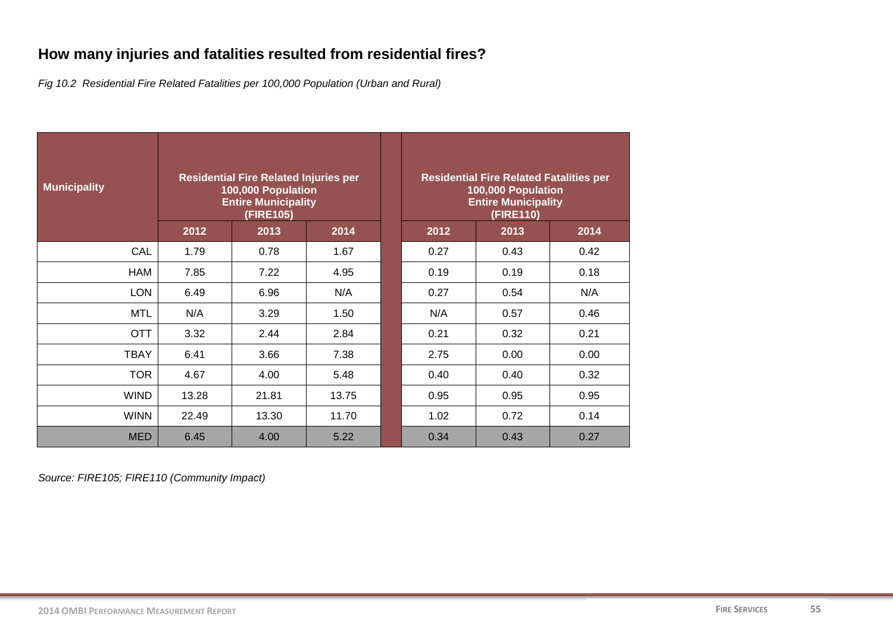## **How many injuries and fatalities resulted from residential fires?**

*Fig 10.2 Residential Fire Related Fatalities per 100,000 Population (Urban and Rural)*

| <b>Municipality</b> | <b>Residential Fire Related Injuries per</b><br>100,000 Population<br><b>Entire Municipality</b><br>(FIRE105) |       |       | <b>Residential Fire Related Fatalities per</b><br>100,000 Population<br><b>Entire Municipality</b><br>(FIRE110) |      |      |  |
|---------------------|---------------------------------------------------------------------------------------------------------------|-------|-------|-----------------------------------------------------------------------------------------------------------------|------|------|--|
|                     | 2012                                                                                                          | 2013  | 2014  | 2012                                                                                                            | 2013 | 2014 |  |
| CAL                 | 1.79                                                                                                          | 0.78  | 1.67  | 0.27                                                                                                            | 0.43 | 0.42 |  |
| HAM                 | 7.85                                                                                                          | 7.22  | 4.95  | 0.19                                                                                                            | 0.19 | 0.18 |  |
| <b>LON</b>          | 6.49                                                                                                          | 6.96  | N/A   | 0.27                                                                                                            | 0.54 | N/A  |  |
| <b>MTL</b>          | N/A                                                                                                           | 3.29  | 1.50  | N/A                                                                                                             | 0.57 | 0.46 |  |
| <b>OTT</b>          | 3.32                                                                                                          | 2.44  | 2.84  | 0.21                                                                                                            | 0.32 | 0.21 |  |
| <b>TBAY</b>         | 6.41                                                                                                          | 3.66  | 7.38  | 2.75                                                                                                            | 0.00 | 0.00 |  |
| <b>TOR</b>          | 4.67                                                                                                          | 4.00  | 5.48  | 0.40                                                                                                            | 0.40 | 0.32 |  |
| <b>WIND</b>         | 13.28                                                                                                         | 21.81 | 13.75 | 0.95                                                                                                            | 0.95 | 0.95 |  |
| <b>WINN</b>         | 22.49                                                                                                         | 13.30 | 11.70 | 1.02                                                                                                            | 0.72 | 0.14 |  |
| <b>MED</b>          | 6.45                                                                                                          | 4.00  | 5.22  | 0.34                                                                                                            | 0.43 | 0.27 |  |

*Source: FIRE105; FIRE110 (Community Impact)*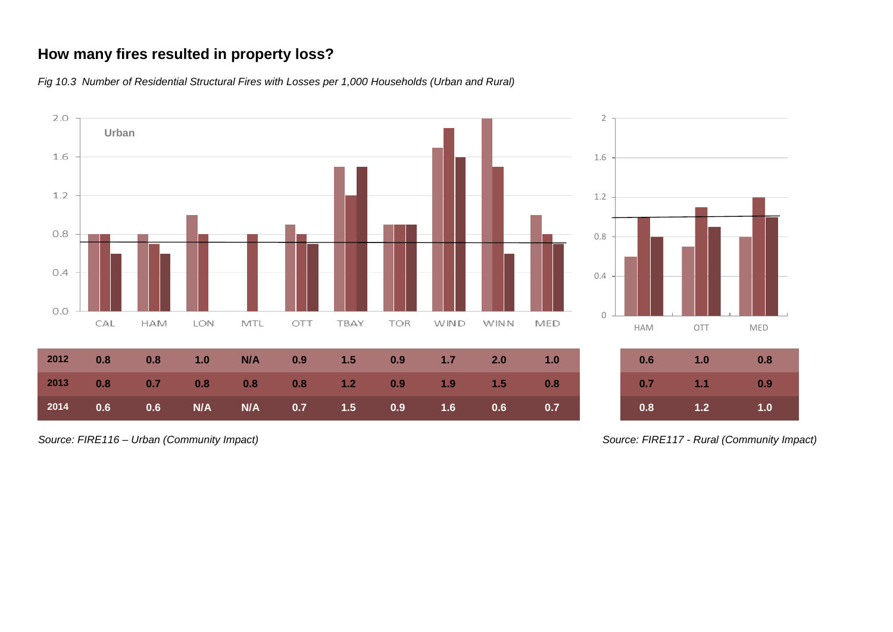## **How many fires resulted in property loss?**

*Fig 10.3 Number of Residential Structural Fires with Losses per 1,000 Households (Urban and Rural)*



*Source: FIRE116 – Urban (Community Impact) Source: FIRE117 - Rural (Community Impact)*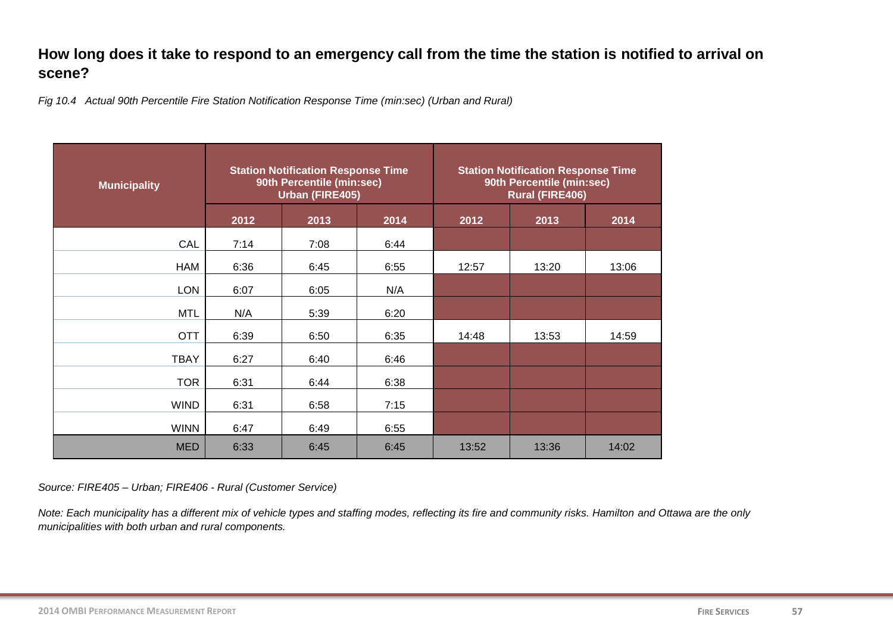## **How long does it take to respond to an emergency call from the time the station is notified to arrival on scene?**

*Fig 10.4 Actual 90th Percentile Fire Station Notification Response Time (min:sec) (Urban and Rural)* 

| <b>Municipality</b> |      | <b>Station Notification Response Time</b><br>90th Percentile (min:sec)<br><b>Urban (FIRE405)</b> |      | <b>Station Notification Response Time</b><br>90th Percentile (min:sec)<br><b>Rural (FIRE406)</b> |       |       |  |
|---------------------|------|--------------------------------------------------------------------------------------------------|------|--------------------------------------------------------------------------------------------------|-------|-------|--|
|                     | 2012 | 2013                                                                                             | 2014 | 2012                                                                                             | 2013  | 2014  |  |
| CAL                 | 7:14 | 7:08                                                                                             | 6:44 |                                                                                                  |       |       |  |
| <b>HAM</b>          | 6:36 | 6:45                                                                                             | 6:55 | 12:57                                                                                            | 13:20 | 13:06 |  |
| <b>LON</b>          | 6:07 | 6:05                                                                                             | N/A  |                                                                                                  |       |       |  |
| <b>MTL</b>          | N/A  | 5:39                                                                                             | 6:20 |                                                                                                  |       |       |  |
| <b>OTT</b>          | 6:39 | 6:50                                                                                             | 6:35 | 14:48                                                                                            | 13:53 | 14:59 |  |
| <b>TBAY</b>         | 6:27 | 6:40                                                                                             | 6:46 |                                                                                                  |       |       |  |
| <b>TOR</b>          | 6:31 | 6:44                                                                                             | 6:38 |                                                                                                  |       |       |  |
| <b>WIND</b>         | 6:31 | 6:58                                                                                             | 7:15 |                                                                                                  |       |       |  |
| <b>WINN</b>         | 6:47 | 6:49                                                                                             | 6:55 |                                                                                                  |       |       |  |
| <b>MED</b>          | 6:33 | 6:45                                                                                             | 6:45 | 13:52                                                                                            | 13:36 | 14:02 |  |

*Source: FIRE405 – Urban; FIRE406 - Rural (Customer Service)*

*Note: Each municipality has a different mix of vehicle types and staffing modes, reflecting its fire and community risks. Hamilton and Ottawa are the only municipalities with both urban and rural components.*